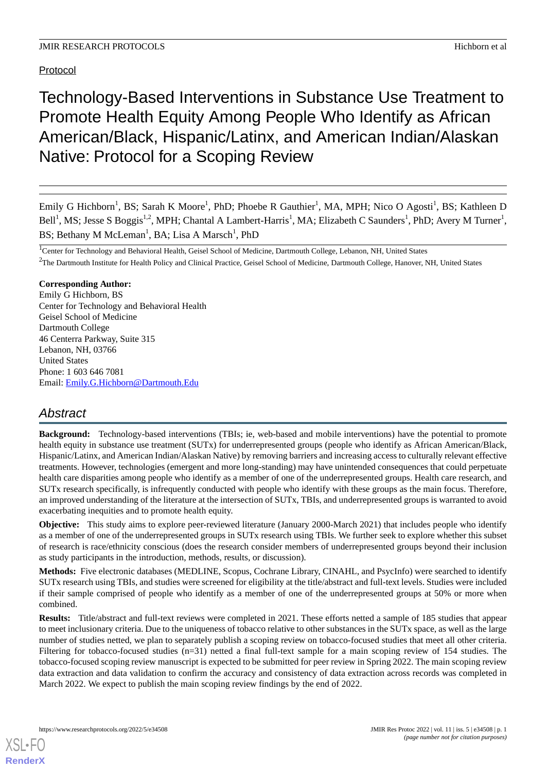# Protocol

Technology-Based Interventions in Substance Use Treatment to Promote Health Equity Among People Who Identify as African American/Black, Hispanic/Latinx, and American Indian/Alaskan Native: Protocol for a Scoping Review

Emily G Hichborn<sup>1</sup>, BS; Sarah K Moore<sup>1</sup>, PhD; Phoebe R Gauthier<sup>1</sup>, MA, MPH; Nico O Agosti<sup>1</sup>, BS; Kathleen D Bell<sup>1</sup>, MS; Jesse S Boggis<sup>1,2</sup>, MPH; Chantal A Lambert-Harris<sup>1</sup>, MA; Elizabeth C Saunders<sup>1</sup>, PhD; Avery M Turner<sup>1</sup>, BS; Bethany M McLeman<sup>1</sup>, BA; Lisa A Marsch<sup>1</sup>, PhD

<sup>1</sup>Center for Technology and Behavioral Health, Geisel School of Medicine, Dartmouth College, Lebanon, NH, United States <sup>2</sup>The Dartmouth Institute for Health Policy and Clinical Practice, Geisel School of Medicine, Dartmouth College, Hanover, NH, United States

## **Corresponding Author:**

Emily G Hichborn, BS Center for Technology and Behavioral Health Geisel School of Medicine Dartmouth College 46 Centerra Parkway, Suite 315 Lebanon, NH, 03766 United States Phone: 1 603 646 7081 Email: [Emily.G.Hichborn@Dartmouth.Edu](mailto:Emily.G.Hichborn@Dartmouth.Edu)

# *Abstract*

**Background:** Technology-based interventions (TBIs; ie, web-based and mobile interventions) have the potential to promote health equity in substance use treatment (SUTx) for underrepresented groups (people who identify as African American/Black, Hispanic/Latinx, and American Indian/Alaskan Native) by removing barriers and increasing access to culturally relevant effective treatments. However, technologies (emergent and more long-standing) may have unintended consequences that could perpetuate health care disparities among people who identify as a member of one of the underrepresented groups. Health care research, and SUTx research specifically, is infrequently conducted with people who identify with these groups as the main focus. Therefore, an improved understanding of the literature at the intersection of SUTx, TBIs, and underrepresented groups is warranted to avoid exacerbating inequities and to promote health equity.

**Objective:** This study aims to explore peer-reviewed literature (January 2000-March 2021) that includes people who identify as a member of one of the underrepresented groups in SUTx research using TBIs. We further seek to explore whether this subset of research is race/ethnicity conscious (does the research consider members of underrepresented groups beyond their inclusion as study participants in the introduction, methods, results, or discussion).

**Methods:** Five electronic databases (MEDLINE, Scopus, Cochrane Library, CINAHL, and PsycInfo) were searched to identify SUTx research using TBIs, and studies were screened for eligibility at the title/abstract and full-text levels. Studies were included if their sample comprised of people who identify as a member of one of the underrepresented groups at 50% or more when combined.

**Results:** Title/abstract and full-text reviews were completed in 2021. These efforts netted a sample of 185 studies that appear to meet inclusionary criteria. Due to the uniqueness of tobacco relative to other substances in the SUTx space, as well as the large number of studies netted, we plan to separately publish a scoping review on tobacco-focused studies that meet all other criteria. Filtering for tobacco-focused studies (n=31) netted a final full-text sample for a main scoping review of 154 studies. The tobacco-focused scoping review manuscript is expected to be submitted for peer review in Spring 2022. The main scoping review data extraction and data validation to confirm the accuracy and consistency of data extraction across records was completed in March 2022. We expect to publish the main scoping review findings by the end of 2022.

[XSL](http://www.w3.org/Style/XSL)•FO **[RenderX](http://www.renderx.com/)**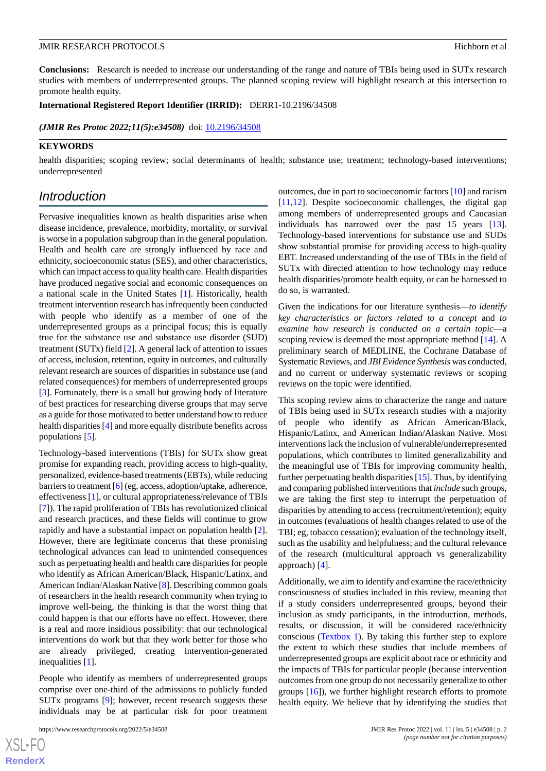**Conclusions:** Research is needed to increase our understanding of the range and nature of TBIs being used in SUTx research studies with members of underrepresented groups. The planned scoping review will highlight research at this intersection to promote health equity.

**International Registered Report Identifier (IRRID):** DERR1-10.2196/34508

(JMIR Res Protoc 2022;11(5):e34508) doi: [10.2196/34508](http://dx.doi.org/10.2196/34508)

#### **KEYWORDS**

health disparities; scoping review; social determinants of health; substance use; treatment; technology-based interventions; underrepresented

# *Introduction*

Pervasive inequalities known as health disparities arise when disease incidence, prevalence, morbidity, mortality, or survival is worse in a population subgroup than in the general population. Health and health care are strongly influenced by race and ethnicity, socioeconomic status (SES), and other characteristics, which can impact access to quality health care. Health disparities have produced negative social and economic consequences on a national scale in the United States [[1\]](#page-6-0). Historically, health treatment intervention research has infrequently been conducted with people who identify as a member of one of the underrepresented groups as a principal focus; this is equally true for the substance use and substance use disorder (SUD) treatment (SUTx) field [\[2](#page-6-1)]. A general lack of attention to issues of access, inclusion, retention, equity in outcomes, and culturally relevant research are sources of disparities in substance use (and related consequences) for members of underrepresented groups [[3\]](#page-6-2). Fortunately, there is a small but growing body of literature of best practices for researching diverse groups that may serve as a guide for those motivated to better understand how to reduce health disparities [[4\]](#page-6-3) and more equally distribute benefits across populations [\[5](#page-6-4)].

Technology-based interventions (TBIs) for SUTx show great promise for expanding reach, providing access to high-quality, personalized, evidence-based treatments (EBTs), while reducing barriers to treatment [\[6\]](#page-6-5) (eg, access, adoption/uptake, adherence, effectiveness [[1](#page-6-0)], or cultural appropriateness/relevance of TBIs [[7\]](#page-6-6)). The rapid proliferation of TBIs has revolutionized clinical and research practices, and these fields will continue to grow rapidly and have a substantial impact on population health [[2\]](#page-6-1). However, there are legitimate concerns that these promising technological advances can lead to unintended consequences such as perpetuating health and health care disparities for people who identify as African American/Black, Hispanic/Latinx, and American Indian/Alaskan Native [\[8\]](#page-6-7). Describing common goals of researchers in the health research community when trying to improve well-being, the thinking is that the worst thing that could happen is that our efforts have no effect. However, there is a real and more insidious possibility: that our technological interventions do work but that they work better for those who are already privileged, creating intervention-generated inequalities [\[1\]](#page-6-0).

People who identify as members of underrepresented groups comprise over one-third of the admissions to publicly funded SUTx programs [[9\]](#page-6-8); however, recent research suggests these individuals may be at particular risk for poor treatment

outcomes, due in part to socioeconomic factors [\[10](#page-6-9)] and racism [[11,](#page-6-10)[12\]](#page-6-11). Despite socioeconomic challenges, the digital gap among members of underrepresented groups and Caucasian individuals has narrowed over the past 15 years [[13\]](#page-6-12). Technology-based interventions for substance use and SUDs show substantial promise for providing access to high-quality EBT. Increased understanding of the use of TBIs in the field of SUTx with directed attention to how technology may reduce health disparities/promote health equity, or can be harnessed to do so, is warranted.

Given the indications for our literature synthesis—*to identify key characteristics or factors related to a concept* and *to examine how research is conducted on a certain topic*—a scoping review is deemed the most appropriate method [[14\]](#page-6-13). A preliminary search of MEDLINE, the Cochrane Database of Systematic Reviews, and *JBI Evidence Synthesis* was conducted, and no current or underway systematic reviews or scoping reviews on the topic were identified.

This scoping review aims to characterize the range and nature of TBIs being used in SUTx research studies with a majority of people who identify as African American/Black, Hispanic/Latinx, and American Indian/Alaskan Native. Most interventions lack the inclusion of vulnerable/underrepresented populations, which contributes to limited generalizability and the meaningful use of TBIs for improving community health, further perpetuating health disparities [[15\]](#page-6-14). Thus, by identifying and comparing published interventions that *include* such groups, we are taking the first step to interrupt the perpetuation of disparities by attending to access (recruitment/retention); equity in outcomes (evaluations of health changes related to use of the TBI; eg, tobacco cessation); evaluation of the technology itself, such as the usability and helpfulness; and the cultural relevance of the research (multicultural approach vs generalizability approach) [\[4](#page-6-3)].

Additionally, we aim to identify and examine the race/ethnicity consciousness of studies included in this review, meaning that if a study considers underrepresented groups, beyond their inclusion as study participants, in the introduction, methods, results, or discussion, it will be considered race/ethnicity conscious ([Textbox 1\)](#page-2-0). By taking this further step to explore the extent to which these studies that include members of underrepresented groups are explicit about race or ethnicity and the impacts of TBIs for particular people (because intervention outcomes from one group do not necessarily generalize to other groups [\[16](#page-6-15)]), we further highlight research efforts to promote health equity. We believe that by identifying the studies that

[XSL](http://www.w3.org/Style/XSL)•FO **[RenderX](http://www.renderx.com/)**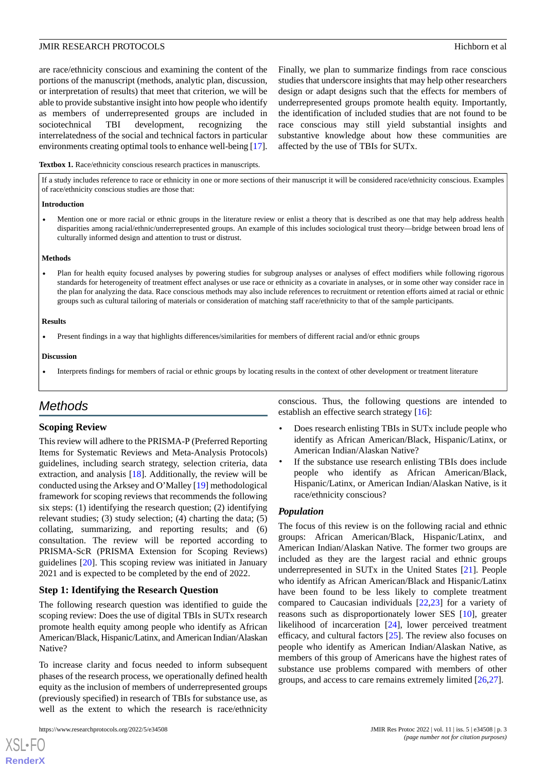are race/ethnicity conscious and examining the content of the portions of the manuscript (methods, analytic plan, discussion, or interpretation of results) that meet that criterion, we will be able to provide substantive insight into how people who identify as members of underrepresented groups are included in sociotechnical TBI development, recognizing the interrelatedness of the social and technical factors in particular environments creating optimal tools to enhance well-being [\[17\]](#page-6-16).

Finally, we plan to summarize findings from race conscious studies that underscore insights that may help other researchers design or adapt designs such that the effects for members of underrepresented groups promote health equity. Importantly, the identification of included studies that are not found to be race conscious may still yield substantial insights and substantive knowledge about how these communities are affected by the use of TBIs for SUTx.

#### <span id="page-2-0"></span>**Textbox 1.** Race/ethnicity conscious research practices in manuscripts.

If a study includes reference to race or ethnicity in one or more sections of their manuscript it will be considered race/ethnicity conscious. Examples of race/ethnicity conscious studies are those that:

#### **Introduction**

• Mention one or more racial or ethnic groups in the literature review or enlist a theory that is described as one that may help address health disparities among racial/ethnic/underrepresented groups. An example of this includes sociological trust theory—bridge between broad lens of culturally informed design and attention to trust or distrust.

#### **Methods**

• Plan for health equity focused analyses by powering studies for subgroup analyses or analyses of effect modifiers while following rigorous standards for heterogeneity of treatment effect analyses or use race or ethnicity as a covariate in analyses, or in some other way consider race in the plan for analyzing the data. Race conscious methods may also include references to recruitment or retention efforts aimed at racial or ethnic groups such as cultural tailoring of materials or consideration of matching staff race/ethnicity to that of the sample participants.

#### **Results**

• Present findings in a way that highlights differences/similarities for members of different racial and/or ethnic groups

#### **Discussion**

• Interprets findings for members of racial or ethnic groups by locating results in the context of other development or treatment literature

# *Methods*

### **Scoping Review**

This review will adhere to the PRISMA-P (Preferred Reporting Items for Systematic Reviews and Meta-Analysis Protocols) guidelines, including search strategy, selection criteria, data extraction, and analysis [\[18](#page-6-17)]. Additionally, the review will be conducted using the Arksey and O'Malley [\[19](#page-6-18)] methodological framework for scoping reviews that recommends the following six steps: (1) identifying the research question; (2) identifying relevant studies; (3) study selection; (4) charting the data; (5) collating, summarizing, and reporting results; and (6) consultation. The review will be reported according to PRISMA-ScR (PRISMA Extension for Scoping Reviews) guidelines [\[20](#page-7-0)]. This scoping review was initiated in January 2021 and is expected to be completed by the end of 2022.

### **Step 1: Identifying the Research Question**

The following research question was identified to guide the scoping review: Does the use of digital TBIs in SUTx research promote health equity among people who identify as African American/Black, Hispanic/Latinx, and American Indian/Alaskan Native?

To increase clarity and focus needed to inform subsequent phases of the research process, we operationally defined health equity as the inclusion of members of underrepresented groups (previously specified) in research of TBIs for substance use, as well as the extent to which the research is race/ethnicity

[XSL](http://www.w3.org/Style/XSL)•FO **[RenderX](http://www.renderx.com/)**

conscious. Thus, the following questions are intended to establish an effective search strategy [\[16](#page-6-15)]:

- Does research enlisting TBIs in SUTx include people who identify as African American/Black, Hispanic/Latinx, or American Indian/Alaskan Native?
- If the substance use research enlisting TBIs does include people who identify as African American/Black, Hispanic/Latinx, or American Indian/Alaskan Native, is it race/ethnicity conscious?

### *Population*

The focus of this review is on the following racial and ethnic groups: African American/Black, Hispanic/Latinx, and American Indian/Alaskan Native. The former two groups are included as they are the largest racial and ethnic groups underrepresented in SUTx in the United States [[21\]](#page-7-1). People who identify as African American/Black and Hispanic/Latinx have been found to be less likely to complete treatment compared to Caucasian individuals [\[22](#page-7-2),[23\]](#page-7-3) for a variety of reasons such as disproportionately lower SES [\[10](#page-6-9)], greater likelihood of incarceration [\[24](#page-7-4)], lower perceived treatment efficacy, and cultural factors [\[25](#page-7-5)]. The review also focuses on people who identify as American Indian/Alaskan Native, as members of this group of Americans have the highest rates of substance use problems compared with members of other groups, and access to care remains extremely limited [[26](#page-7-6)[,27](#page-7-7)].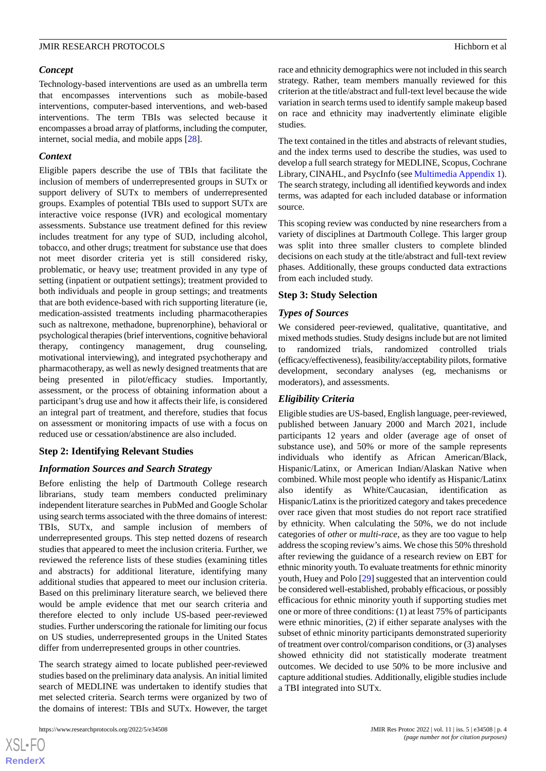#### *Concept*

Technology-based interventions are used as an umbrella term that encompasses interventions such as mobile-based interventions, computer-based interventions, and web-based interventions. The term TBIs was selected because it encompasses a broad array of platforms, including the computer, internet, social media, and mobile apps [[28\]](#page-7-8).

#### *Context*

Eligible papers describe the use of TBIs that facilitate the inclusion of members of underrepresented groups in SUTx or support delivery of SUTx to members of underrepresented groups. Examples of potential TBIs used to support SUTx are interactive voice response (IVR) and ecological momentary assessments. Substance use treatment defined for this review includes treatment for any type of SUD, including alcohol, tobacco, and other drugs; treatment for substance use that does not meet disorder criteria yet is still considered risky, problematic, or heavy use; treatment provided in any type of setting (inpatient or outpatient settings); treatment provided to both individuals and people in group settings; and treatments that are both evidence-based with rich supporting literature (ie, medication-assisted treatments including pharmacotherapies such as naltrexone, methadone, buprenorphine), behavioral or psychological therapies (brief interventions, cognitive behavioral therapy, contingency management, drug counseling, motivational interviewing), and integrated psychotherapy and pharmacotherapy, as well as newly designed treatments that are being presented in pilot/efficacy studies. Importantly, assessment, or the process of obtaining information about a participant's drug use and how it affects their life, is considered an integral part of treatment, and therefore, studies that focus on assessment or monitoring impacts of use with a focus on reduced use or cessation/abstinence are also included.

### **Step 2: Identifying Relevant Studies**

### *Information Sources and Search Strategy*

Before enlisting the help of Dartmouth College research librarians, study team members conducted preliminary independent literature searches in PubMed and Google Scholar using search terms associated with the three domains of interest: TBIs, SUTx, and sample inclusion of members of underrepresented groups. This step netted dozens of research studies that appeared to meet the inclusion criteria. Further, we reviewed the reference lists of these studies (examining titles and abstracts) for additional literature, identifying many additional studies that appeared to meet our inclusion criteria. Based on this preliminary literature search, we believed there would be ample evidence that met our search criteria and therefore elected to only include US-based peer-reviewed studies. Further underscoring the rationale for limiting our focus on US studies, underrepresented groups in the United States differ from underrepresented groups in other countries.

The search strategy aimed to locate published peer-reviewed studies based on the preliminary data analysis. An initial limited search of MEDLINE was undertaken to identify studies that met selected criteria. Search terms were organized by two of the domains of interest: TBIs and SUTx. However, the target

race and ethnicity demographics were not included in this search strategy. Rather, team members manually reviewed for this criterion at the title/abstract and full-text level because the wide variation in search terms used to identify sample makeup based on race and ethnicity may inadvertently eliminate eligible studies.

The text contained in the titles and abstracts of relevant studies, and the index terms used to describe the studies, was used to develop a full search strategy for MEDLINE, Scopus, Cochrane Library, CINAHL, and PsycInfo (see [Multimedia Appendix 1\)](#page-6-19). The search strategy, including all identified keywords and index terms, was adapted for each included database or information source.

This scoping review was conducted by nine researchers from a variety of disciplines at Dartmouth College. This larger group was split into three smaller clusters to complete blinded decisions on each study at the title/abstract and full-text review phases. Additionally, these groups conducted data extractions from each included study.

#### **Step 3: Study Selection**

#### *Types of Sources*

We considered peer-reviewed, qualitative, quantitative, and mixed methods studies. Study designs include but are not limited to randomized trials, randomized controlled trials (efficacy/effectiveness), feasibility/acceptability pilots, formative development, secondary analyses (eg, mechanisms or moderators), and assessments.

### *Eligibility Criteria*

Eligible studies are US-based, English language, peer-reviewed, published between January 2000 and March 2021, include participants 12 years and older (average age of onset of substance use), and 50% or more of the sample represents individuals who identify as African American/Black, Hispanic/Latinx, or American Indian/Alaskan Native when combined. While most people who identify as Hispanic/Latinx also identify as White/Caucasian, identification as Hispanic/Latinx is the prioritized category and takes precedence over race given that most studies do not report race stratified by ethnicity. When calculating the 50%, we do not include categories of *other* or *multi-race*, as they are too vague to help address the scoping review's aims. We chose this 50% threshold after reviewing the guidance of a research review on EBT for ethnic minority youth. To evaluate treatments for ethnic minority youth, Huey and Polo [[29\]](#page-7-9) suggested that an intervention could be considered well-established, probably efficacious, or possibly efficacious for ethnic minority youth if supporting studies met one or more of three conditions: (1) at least 75% of participants were ethnic minorities, (2) if either separate analyses with the subset of ethnic minority participants demonstrated superiority of treatment over control/comparison conditions, or (3) analyses showed ethnicity did not statistically moderate treatment outcomes. We decided to use 50% to be more inclusive and capture additional studies. Additionally, eligible studies include a TBI integrated into SUTx.

```
XS-FO
RenderX
```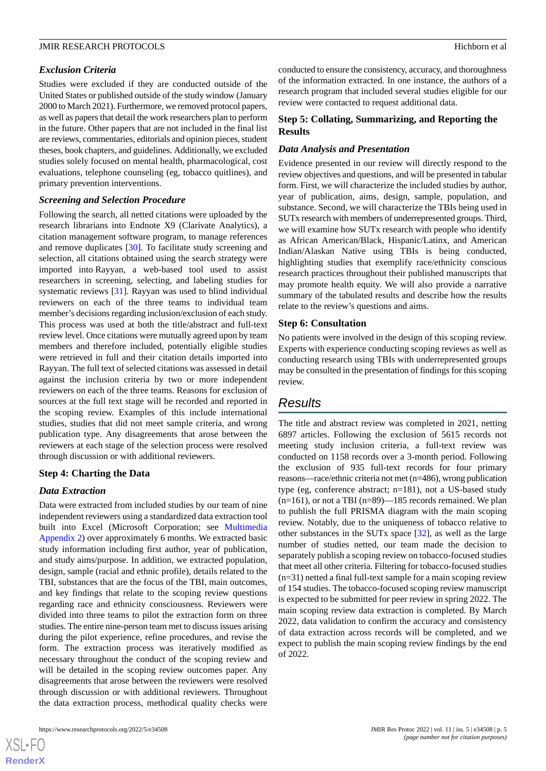## *Exclusion Criteria*

Studies were excluded if they are conducted outside of the United States or published outside of the study window (January 2000 to March 2021). Furthermore, we removed protocol papers, as well as papers that detail the work researchers plan to perform in the future. Other papers that are not included in the final list are reviews, commentaries, editorials and opinion pieces, student theses, book chapters, and guidelines. Additionally, we excluded studies solely focused on mental health, pharmacological, cost evaluations, telephone counseling (eg, tobacco quitlines), and primary prevention interventions.

## *Screening and Selection Procedure*

Following the search, all netted citations were uploaded by the research librarians into Endnote X9 (Clarivate Analytics), a citation management software program, to manage references and remove duplicates [\[30](#page-7-10)]. To facilitate study screening and selection, all citations obtained using the search strategy were imported into Rayyan*,* a web-based tool used to assist researchers in screening, selecting, and labeling studies for systematic reviews [[31\]](#page-7-11). Rayyan was used to blind individual reviewers on each of the three teams to individual team member's decisions regarding inclusion/exclusion of each study. This process was used at both the title/abstract and full-text review level. Once citations were mutually agreed upon by team members and therefore included, potentially eligible studies were retrieved in full and their citation details imported into Rayyan. The full text of selected citations was assessed in detail against the inclusion criteria by two or more independent reviewers on each of the three teams. Reasons for exclusion of sources at the full text stage will be recorded and reported in the scoping review. Examples of this include international studies, studies that did not meet sample criteria, and wrong publication type. Any disagreements that arose between the reviewers at each stage of the selection process were resolved through discussion or with additional reviewers.

## **Step 4: Charting the Data**

### *Data Extraction*

Data were extracted from included studies by our team of nine independent reviewers using a standardized data extraction tool built into Excel (Microsoft Corporation; see [Multimedia](#page-6-20) [Appendix 2](#page-6-20)) over approximately 6 months. We extracted basic study information including first author, year of publication, and study aims/purpose. In addition, we extracted population, design, sample (racial and ethnic profile), details related to the TBI, substances that are the focus of the TBI, main outcomes, and key findings that relate to the scoping review questions regarding race and ethnicity consciousness. Reviewers were divided into three teams to pilot the extraction form on three studies. The entire nine-person team met to discuss issues arising during the pilot experience, refine procedures, and revise the form. The extraction process was iteratively modified as necessary throughout the conduct of the scoping review and will be detailed in the scoping review outcomes paper. Any disagreements that arose between the reviewers were resolved through discussion or with additional reviewers. Throughout the data extraction process, methodical quality checks were

[XSL](http://www.w3.org/Style/XSL)•FO **[RenderX](http://www.renderx.com/)** conducted to ensure the consistency, accuracy, and thoroughness of the information extracted. In one instance, the authors of a research program that included several studies eligible for our review were contacted to request additional data.

## **Step 5: Collating, Summarizing, and Reporting the Results**

## *Data Analysis and Presentation*

Evidence presented in our review will directly respond to the review objectives and questions, and will be presented in tabular form. First, we will characterize the included studies by author, year of publication, aims, design, sample, population, and substance. Second, we will characterize the TBIs being used in SUTx research with members of underrepresented groups. Third, we will examine how SUTx research with people who identify as African American/Black, Hispanic/Latinx, and American Indian/Alaskan Native using TBIs is being conducted, highlighting studies that exemplify race/ethnicity conscious research practices throughout their published manuscripts that may promote health equity. We will also provide a narrative summary of the tabulated results and describe how the results relate to the review's questions and aims.

#### **Step 6: Consultation**

No patients were involved in the design of this scoping review. Experts with experience conducting scoping reviews as well as conducting research using TBIs with underrepresented groups may be consulted in the presentation of findings for this scoping review.

# *Results*

The title and abstract review was completed in 2021, netting 6897 articles. Following the exclusion of 5615 records not meeting study inclusion criteria, a full-text review was conducted on 1158 records over a 3-month period. Following the exclusion of 935 full-text records for four primary reasons—race/ethnic criteria not met (n=486), wrong publication type (eg, conference abstract; n=181), not a US-based study  $(n=161)$ , or not a TBI  $(n=89)$ —185 records remained. We plan to publish the full PRISMA diagram with the main scoping review. Notably, due to the uniqueness of tobacco relative to other substances in the SUTx space [\[32](#page-7-12)], as well as the large number of studies netted, our team made the decision to separately publish a scoping review on tobacco-focused studies that meet all other criteria. Filtering for tobacco-focused studies (n=31) netted a final full-text sample for a main scoping review of 154 studies. The tobacco-focused scoping review manuscript is expected to be submitted for peer review in spring 2022. The main scoping review data extraction is completed. By March 2022, data validation to confirm the accuracy and consistency of data extraction across records will be completed, and we expect to publish the main scoping review findings by the end of 2022.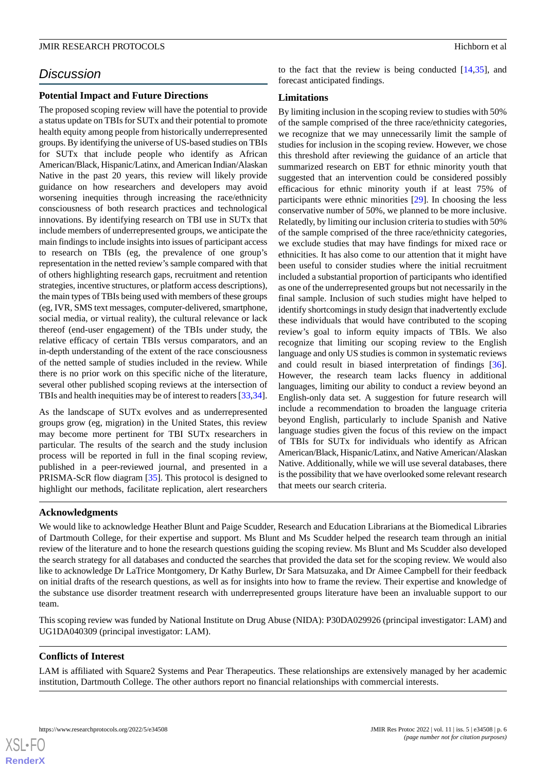# *Discussion*

### **Potential Impact and Future Directions**

The proposed scoping review will have the potential to provide a status update on TBIs for SUTx and their potential to promote health equity among people from historically underrepresented groups. By identifying the universe of US-based studies on TBIs for SUTx that include people who identify as African American/Black, Hispanic/Latinx, and American Indian/Alaskan Native in the past 20 years, this review will likely provide guidance on how researchers and developers may avoid worsening inequities through increasing the race/ethnicity consciousness of both research practices and technological innovations. By identifying research on TBI use in SUTx that include members of underrepresented groups, we anticipate the main findings to include insights into issues of participant access to research on TBIs (eg, the prevalence of one group's representation in the netted review's sample compared with that of others highlighting research gaps, recruitment and retention strategies, incentive structures, or platform access descriptions), the main types of TBIs being used with members of these groups (eg, IVR, SMS text messages, computer-delivered, smartphone, social media, or virtual reality), the cultural relevance or lack thereof (end-user engagement) of the TBIs under study, the relative efficacy of certain TBIs versus comparators, and an in-depth understanding of the extent of the race consciousness of the netted sample of studies included in the review. While there is no prior work on this specific niche of the literature, several other published scoping reviews at the intersection of TBIs and health inequities may be of interest to readers [\[33](#page-7-13),[34\]](#page-7-14).

As the landscape of SUTx evolves and as underrepresented groups grow (eg, migration) in the United States, this review may become more pertinent for TBI SUTx researchers in particular. The results of the search and the study inclusion process will be reported in full in the final scoping review, published in a peer-reviewed journal, and presented in a PRISMA-ScR flow diagram [[35\]](#page-7-15). This protocol is designed to highlight our methods, facilitate replication, alert researchers to the fact that the review is being conducted [[14,](#page-6-13)[35](#page-7-15)], and forecast anticipated findings.

## **Limitations**

By limiting inclusion in the scoping review to studies with 50% of the sample comprised of the three race/ethnicity categories, we recognize that we may unnecessarily limit the sample of studies for inclusion in the scoping review. However, we chose this threshold after reviewing the guidance of an article that summarized research on EBT for ethnic minority youth that suggested that an intervention could be considered possibly efficacious for ethnic minority youth if at least 75% of participants were ethnic minorities [[29\]](#page-7-9). In choosing the less conservative number of 50%, we planned to be more inclusive. Relatedly, by limiting our inclusion criteria to studies with 50% of the sample comprised of the three race/ethnicity categories, we exclude studies that may have findings for mixed race or ethnicities. It has also come to our attention that it might have been useful to consider studies where the initial recruitment included a substantial proportion of participants who identified as one of the underrepresented groups but not necessarily in the final sample. Inclusion of such studies might have helped to identify shortcomings in study design that inadvertently exclude these individuals that would have contributed to the scoping review's goal to inform equity impacts of TBIs. We also recognize that limiting our scoping review to the English language and only US studies is common in systematic reviews and could result in biased interpretation of findings [[36\]](#page-7-16). However, the research team lacks fluency in additional languages, limiting our ability to conduct a review beyond an English-only data set. A suggestion for future research will include a recommendation to broaden the language criteria beyond English, particularly to include Spanish and Native language studies given the focus of this review on the impact of TBIs for SUTx for individuals who identify as African American/Black, Hispanic/Latinx, and Native American/Alaskan Native. Additionally, while we will use several databases, there is the possibility that we have overlooked some relevant research that meets our search criteria.

### **Acknowledgments**

We would like to acknowledge Heather Blunt and Paige Scudder, Research and Education Librarians at the Biomedical Libraries of Dartmouth College, for their expertise and support. Ms Blunt and Ms Scudder helped the research team through an initial review of the literature and to hone the research questions guiding the scoping review. Ms Blunt and Ms Scudder also developed the search strategy for all databases and conducted the searches that provided the data set for the scoping review. We would also like to acknowledge Dr LaTrice Montgomery, Dr Kathy Burlew, Dr Sara Matsuzaka, and Dr Aimee Campbell for their feedback on initial drafts of the research questions, as well as for insights into how to frame the review. Their expertise and knowledge of the substance use disorder treatment research with underrepresented groups literature have been an invaluable support to our team.

This scoping review was funded by National Institute on Drug Abuse (NIDA): P30DA029926 (principal investigator: LAM) and UG1DA040309 (principal investigator: LAM).

## **Conflicts of Interest**

 $XS$  $\cdot$ FC **[RenderX](http://www.renderx.com/)**

LAM is affiliated with Square2 Systems and Pear Therapeutics. These relationships are extensively managed by her academic institution, Dartmouth College. The other authors report no financial relationships with commercial interests.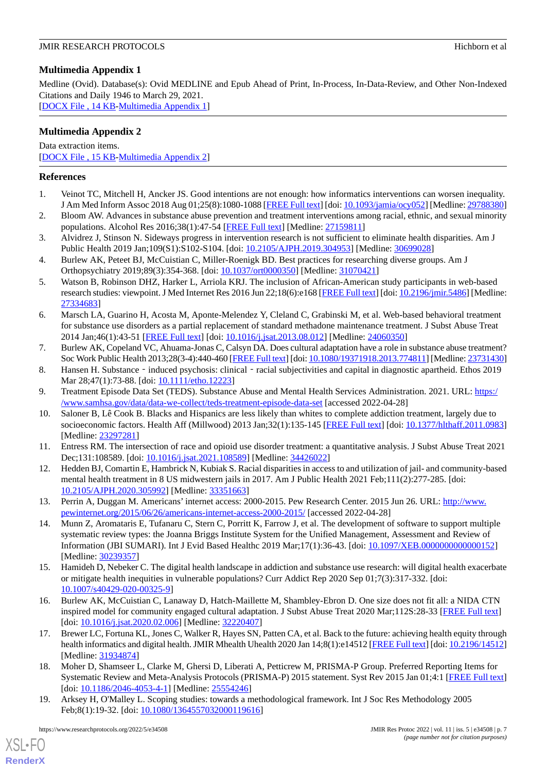# <span id="page-6-19"></span>**Multimedia Appendix 1**

Medline (Ovid). Database(s): Ovid MEDLINE and Epub Ahead of Print, In-Process, In-Data-Review, and Other Non-Indexed Citations and Daily 1946 to March 29, 2021.

<span id="page-6-20"></span>[[DOCX File , 14 KB](https://jmir.org/api/download?alt_name=resprot_v11i5e34508_app1.docx&filename=4fc473cdd931937da30d01b230c622f6.docx)-[Multimedia Appendix 1\]](https://jmir.org/api/download?alt_name=resprot_v11i5e34508_app1.docx&filename=4fc473cdd931937da30d01b230c622f6.docx)

# **Multimedia Appendix 2**

Data extraction items. [[DOCX File , 15 KB](https://jmir.org/api/download?alt_name=resprot_v11i5e34508_app2.docx&filename=8241c3eafe9d7bb2da44ecf63df1273f.docx)-[Multimedia Appendix 2\]](https://jmir.org/api/download?alt_name=resprot_v11i5e34508_app2.docx&filename=8241c3eafe9d7bb2da44ecf63df1273f.docx)

## <span id="page-6-0"></span>**References**

- <span id="page-6-1"></span>1. Veinot TC, Mitchell H, Ancker JS. Good intentions are not enough: how informatics interventions can worsen inequality. J Am Med Inform Assoc 2018 Aug 01;25(8):1080-1088 [\[FREE Full text](http://europepmc.org/abstract/MED/29788380)] [doi: [10.1093/jamia/ocy052\]](http://dx.doi.org/10.1093/jamia/ocy052) [Medline: [29788380](http://www.ncbi.nlm.nih.gov/entrez/query.fcgi?cmd=Retrieve&db=PubMed&list_uids=29788380&dopt=Abstract)]
- <span id="page-6-2"></span>2. Bloom AW. Advances in substance abuse prevention and treatment interventions among racial, ethnic, and sexual minority populations. Alcohol Res 2016;38(1):47-54 [[FREE Full text](http://europepmc.org/abstract/MED/27159811)] [Medline: [27159811\]](http://www.ncbi.nlm.nih.gov/entrez/query.fcgi?cmd=Retrieve&db=PubMed&list_uids=27159811&dopt=Abstract)
- <span id="page-6-3"></span>3. Alvidrez J, Stinson N. Sideways progress in intervention research is not sufficient to eliminate health disparities. Am J Public Health 2019 Jan;109(S1):S102-S104. [doi: [10.2105/AJPH.2019.304953](http://dx.doi.org/10.2105/AJPH.2019.304953)] [Medline: [30699028](http://www.ncbi.nlm.nih.gov/entrez/query.fcgi?cmd=Retrieve&db=PubMed&list_uids=30699028&dopt=Abstract)]
- <span id="page-6-4"></span>4. Burlew AK, Peteet BJ, McCuistian C, Miller-Roenigk BD. Best practices for researching diverse groups. Am J Orthopsychiatry 2019;89(3):354-368. [doi: [10.1037/ort0000350](http://dx.doi.org/10.1037/ort0000350)] [Medline: [31070421](http://www.ncbi.nlm.nih.gov/entrez/query.fcgi?cmd=Retrieve&db=PubMed&list_uids=31070421&dopt=Abstract)]
- <span id="page-6-5"></span>5. Watson B, Robinson DHZ, Harker L, Arriola KRJ. The inclusion of African-American study participants in web-based research studies: viewpoint. J Med Internet Res 2016 Jun 22;18(6):e168 [\[FREE Full text\]](https://www.jmir.org/2016/6/e168/) [doi: [10.2196/jmir.5486\]](http://dx.doi.org/10.2196/jmir.5486) [Medline: [27334683](http://www.ncbi.nlm.nih.gov/entrez/query.fcgi?cmd=Retrieve&db=PubMed&list_uids=27334683&dopt=Abstract)]
- <span id="page-6-6"></span>6. Marsch LA, Guarino H, Acosta M, Aponte-Melendez Y, Cleland C, Grabinski M, et al. Web-based behavioral treatment for substance use disorders as a partial replacement of standard methadone maintenance treatment. J Subst Abuse Treat 2014 Jan;46(1):43-51 [[FREE Full text](http://europepmc.org/abstract/MED/24060350)] [doi: [10.1016/j.jsat.2013.08.012](http://dx.doi.org/10.1016/j.jsat.2013.08.012)] [Medline: [24060350](http://www.ncbi.nlm.nih.gov/entrez/query.fcgi?cmd=Retrieve&db=PubMed&list_uids=24060350&dopt=Abstract)]
- <span id="page-6-8"></span><span id="page-6-7"></span>7. Burlew AK, Copeland VC, Ahuama-Jonas C, Calsyn DA. Does cultural adaptation have a role in substance abuse treatment? Soc Work Public Health 2013;28(3-4):440-460 [[FREE Full text\]](http://europepmc.org/abstract/MED/23731430) [doi: [10.1080/19371918.2013.774811\]](http://dx.doi.org/10.1080/19371918.2013.774811) [Medline: [23731430\]](http://www.ncbi.nlm.nih.gov/entrez/query.fcgi?cmd=Retrieve&db=PubMed&list_uids=23731430&dopt=Abstract)
- <span id="page-6-9"></span>8. Hansen H. Substance – induced psychosis: clinical – racial subjectivities and capital in diagnostic apartheid. Ethos 2019 Mar 28;47(1):73-88. [doi: [10.1111/etho.12223\]](http://dx.doi.org/10.1111/etho.12223)
- <span id="page-6-10"></span>9. Treatment Episode Data Set (TEDS). Substance Abuse and Mental Health Services Administration. 2021. URL: [https:/](https://www.samhsa.gov/data/data-we-collect/teds-treatment-episode-data-set) [/www.samhsa.gov/data/data-we-collect/teds-treatment-episode-data-set](https://www.samhsa.gov/data/data-we-collect/teds-treatment-episode-data-set) [accessed 2022-04-28]
- <span id="page-6-11"></span>10. Saloner B, Lê Cook B. Blacks and Hispanics are less likely than whites to complete addiction treatment, largely due to socioeconomic factors. Health Aff (Millwood) 2013 Jan;32(1):135-145 [[FREE Full text\]](http://europepmc.org/abstract/MED/23297281) [doi: [10.1377/hlthaff.2011.0983](http://dx.doi.org/10.1377/hlthaff.2011.0983)] [Medline: [23297281](http://www.ncbi.nlm.nih.gov/entrez/query.fcgi?cmd=Retrieve&db=PubMed&list_uids=23297281&dopt=Abstract)]
- <span id="page-6-12"></span>11. Entress RM. The intersection of race and opioid use disorder treatment: a quantitative analysis. J Subst Abuse Treat 2021 Dec;131:108589. [doi: [10.1016/j.jsat.2021.108589](http://dx.doi.org/10.1016/j.jsat.2021.108589)] [Medline: [34426022\]](http://www.ncbi.nlm.nih.gov/entrez/query.fcgi?cmd=Retrieve&db=PubMed&list_uids=34426022&dopt=Abstract)
- <span id="page-6-13"></span>12. Hedden BJ, Comartin E, Hambrick N, Kubiak S. Racial disparities in access to and utilization of jail- and community-based mental health treatment in 8 US midwestern jails in 2017. Am J Public Health 2021 Feb;111(2):277-285. [doi: [10.2105/AJPH.2020.305992\]](http://dx.doi.org/10.2105/AJPH.2020.305992) [Medline: [33351663](http://www.ncbi.nlm.nih.gov/entrez/query.fcgi?cmd=Retrieve&db=PubMed&list_uids=33351663&dopt=Abstract)]
- <span id="page-6-14"></span>13. Perrin A, Duggan M. Americans' internet access: 2000-2015. Pew Research Center. 2015 Jun 26. URL: [http://www.](http://www.pewinternet.org/2015/06/26/americans-internet-access-2000-2015/) [pewinternet.org/2015/06/26/americans-internet-access-2000-2015/](http://www.pewinternet.org/2015/06/26/americans-internet-access-2000-2015/) [accessed 2022-04-28]
- <span id="page-6-15"></span>14. Munn Z, Aromataris E, Tufanaru C, Stern C, Porritt K, Farrow J, et al. The development of software to support multiple systematic review types: the Joanna Briggs Institute System for the Unified Management, Assessment and Review of Information (JBI SUMARI). Int J Evid Based Healthc 2019 Mar;17(1):36-43. [doi: [10.1097/XEB.0000000000000152\]](http://dx.doi.org/10.1097/XEB.0000000000000152) [Medline: [30239357](http://www.ncbi.nlm.nih.gov/entrez/query.fcgi?cmd=Retrieve&db=PubMed&list_uids=30239357&dopt=Abstract)]
- <span id="page-6-16"></span>15. Hamideh D, Nebeker C. The digital health landscape in addiction and substance use research: will digital health exacerbate or mitigate health inequities in vulnerable populations? Curr Addict Rep 2020 Sep 01;7(3):317-332. [doi: [10.1007/s40429-020-00325-9\]](http://dx.doi.org/10.1007/s40429-020-00325-9)
- <span id="page-6-17"></span>16. Burlew AK, McCuistian C, Lanaway D, Hatch-Maillette M, Shambley-Ebron D. One size does not fit all: a NIDA CTN inspired model for community engaged cultural adaptation. J Subst Abuse Treat 2020 Mar;112S:28-33 [\[FREE Full text\]](https://linkinghub.elsevier.com/retrieve/pii/S0740-5472(19)30589-6) [doi: [10.1016/j.jsat.2020.02.006\]](http://dx.doi.org/10.1016/j.jsat.2020.02.006) [Medline: [32220407\]](http://www.ncbi.nlm.nih.gov/entrez/query.fcgi?cmd=Retrieve&db=PubMed&list_uids=32220407&dopt=Abstract)
- <span id="page-6-18"></span>17. Brewer LC, Fortuna KL, Jones C, Walker R, Hayes SN, Patten CA, et al. Back to the future: achieving health equity through health informatics and digital health. JMIR Mhealth Uhealth 2020 Jan 14;8(1):e14512 [[FREE Full text](https://mhealth.jmir.org/2020/1/e14512/)] [doi: [10.2196/14512\]](http://dx.doi.org/10.2196/14512) [Medline: [31934874](http://www.ncbi.nlm.nih.gov/entrez/query.fcgi?cmd=Retrieve&db=PubMed&list_uids=31934874&dopt=Abstract)]
- 18. Moher D, Shamseer L, Clarke M, Ghersi D, Liberati A, Petticrew M, PRISMA-P Group. Preferred Reporting Items for Systematic Review and Meta-Analysis Protocols (PRISMA-P) 2015 statement. Syst Rev 2015 Jan 01;4:1 [[FREE Full text](https://systematicreviewsjournal.biomedcentral.com/articles/10.1186/2046-4053-4-1)] [doi: [10.1186/2046-4053-4-1](http://dx.doi.org/10.1186/2046-4053-4-1)] [Medline: [25554246\]](http://www.ncbi.nlm.nih.gov/entrez/query.fcgi?cmd=Retrieve&db=PubMed&list_uids=25554246&dopt=Abstract)
- 19. Arksey H, O'Malley L. Scoping studies: towards a methodological framework. Int J Soc Res Methodology 2005 Feb;8(1):19-32. [doi: [10.1080/1364557032000119616\]](http://dx.doi.org/10.1080/1364557032000119616)

[XSL](http://www.w3.org/Style/XSL)•FO **[RenderX](http://www.renderx.com/)**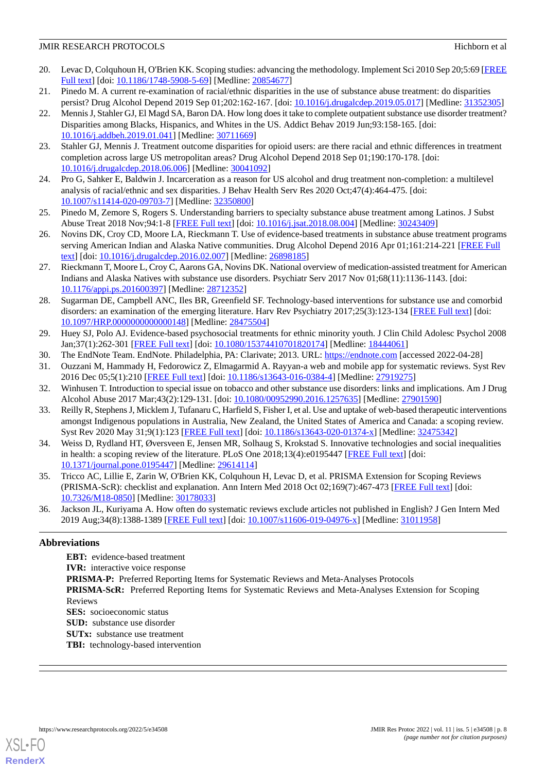- <span id="page-7-0"></span>20. Levac D, Colquhoun H, O'Brien KK. Scoping studies: advancing the methodology. Implement Sci 2010 Sep 20;5:69 [\[FREE](https://implementationscience.biomedcentral.com/articles/10.1186/1748-5908-5-69) [Full text\]](https://implementationscience.biomedcentral.com/articles/10.1186/1748-5908-5-69) [doi: [10.1186/1748-5908-5-69\]](http://dx.doi.org/10.1186/1748-5908-5-69) [Medline: [20854677](http://www.ncbi.nlm.nih.gov/entrez/query.fcgi?cmd=Retrieve&db=PubMed&list_uids=20854677&dopt=Abstract)]
- <span id="page-7-2"></span><span id="page-7-1"></span>21. Pinedo M. A current re-examination of racial/ethnic disparities in the use of substance abuse treatment: do disparities persist? Drug Alcohol Depend 2019 Sep 01;202:162-167. [doi: [10.1016/j.drugalcdep.2019.05.017\]](http://dx.doi.org/10.1016/j.drugalcdep.2019.05.017) [Medline: [31352305](http://www.ncbi.nlm.nih.gov/entrez/query.fcgi?cmd=Retrieve&db=PubMed&list_uids=31352305&dopt=Abstract)]
- 22. Mennis J, Stahler GJ, El Magd SA, Baron DA. How long does it take to complete outpatient substance use disorder treatment? Disparities among Blacks, Hispanics, and Whites in the US. Addict Behav 2019 Jun;93:158-165. [doi: [10.1016/j.addbeh.2019.01.041](http://dx.doi.org/10.1016/j.addbeh.2019.01.041)] [Medline: [30711669](http://www.ncbi.nlm.nih.gov/entrez/query.fcgi?cmd=Retrieve&db=PubMed&list_uids=30711669&dopt=Abstract)]
- <span id="page-7-4"></span><span id="page-7-3"></span>23. Stahler GJ, Mennis J. Treatment outcome disparities for opioid users: are there racial and ethnic differences in treatment completion across large US metropolitan areas? Drug Alcohol Depend 2018 Sep 01;190:170-178. [doi: [10.1016/j.drugalcdep.2018.06.006\]](http://dx.doi.org/10.1016/j.drugalcdep.2018.06.006) [Medline: [30041092\]](http://www.ncbi.nlm.nih.gov/entrez/query.fcgi?cmd=Retrieve&db=PubMed&list_uids=30041092&dopt=Abstract)
- <span id="page-7-5"></span>24. Pro G, Sahker E, Baldwin J. Incarceration as a reason for US alcohol and drug treatment non-completion: a multilevel analysis of racial/ethnic and sex disparities. J Behav Health Serv Res 2020 Oct;47(4):464-475. [doi: [10.1007/s11414-020-09703-7\]](http://dx.doi.org/10.1007/s11414-020-09703-7) [Medline: [32350800\]](http://www.ncbi.nlm.nih.gov/entrez/query.fcgi?cmd=Retrieve&db=PubMed&list_uids=32350800&dopt=Abstract)
- <span id="page-7-6"></span>25. Pinedo M, Zemore S, Rogers S. Understanding barriers to specialty substance abuse treatment among Latinos. J Subst Abuse Treat 2018 Nov;94:1-8 [[FREE Full text](http://europepmc.org/abstract/MED/30243409)] [doi: [10.1016/j.jsat.2018.08.004](http://dx.doi.org/10.1016/j.jsat.2018.08.004)] [Medline: [30243409](http://www.ncbi.nlm.nih.gov/entrez/query.fcgi?cmd=Retrieve&db=PubMed&list_uids=30243409&dopt=Abstract)]
- <span id="page-7-7"></span>26. Novins DK, Croy CD, Moore LA, Rieckmann T. Use of evidence-based treatments in substance abuse treatment programs serving American Indian and Alaska Native communities. Drug Alcohol Depend 2016 Apr 01;161:214-221 [[FREE Full](http://europepmc.org/abstract/MED/26898185) [text](http://europepmc.org/abstract/MED/26898185)] [doi: [10.1016/j.drugalcdep.2016.02.007](http://dx.doi.org/10.1016/j.drugalcdep.2016.02.007)] [Medline: [26898185\]](http://www.ncbi.nlm.nih.gov/entrez/query.fcgi?cmd=Retrieve&db=PubMed&list_uids=26898185&dopt=Abstract)
- <span id="page-7-8"></span>27. Rieckmann T, Moore L, Croy C, Aarons GA, Novins DK. National overview of medication-assisted treatment for American Indians and Alaska Natives with substance use disorders. Psychiatr Serv 2017 Nov 01;68(11):1136-1143. [doi: [10.1176/appi.ps.201600397\]](http://dx.doi.org/10.1176/appi.ps.201600397) [Medline: [28712352\]](http://www.ncbi.nlm.nih.gov/entrez/query.fcgi?cmd=Retrieve&db=PubMed&list_uids=28712352&dopt=Abstract)
- <span id="page-7-9"></span>28. Sugarman DE, Campbell ANC, Iles BR, Greenfield SF. Technology-based interventions for substance use and comorbid disorders: an examination of the emerging literature. Harv Rev Psychiatry 2017;25(3):123-134 [[FREE Full text](http://europepmc.org/abstract/MED/28475504)] [doi: [10.1097/HRP.0000000000000148\]](http://dx.doi.org/10.1097/HRP.0000000000000148) [Medline: [28475504](http://www.ncbi.nlm.nih.gov/entrez/query.fcgi?cmd=Retrieve&db=PubMed&list_uids=28475504&dopt=Abstract)]
- <span id="page-7-11"></span><span id="page-7-10"></span>29. Huey SJ, Polo AJ. Evidence-based psychosocial treatments for ethnic minority youth. J Clin Child Adolesc Psychol 2008 Jan;37(1):262-301 [\[FREE Full text\]](http://europepmc.org/abstract/MED/18444061) [doi: [10.1080/15374410701820174](http://dx.doi.org/10.1080/15374410701820174)] [Medline: [18444061\]](http://www.ncbi.nlm.nih.gov/entrez/query.fcgi?cmd=Retrieve&db=PubMed&list_uids=18444061&dopt=Abstract)
- <span id="page-7-12"></span>30. The EndNote Team. EndNote. Philadelphia, PA: Clarivate; 2013. URL:<https://endnote.com> [accessed 2022-04-28]
- <span id="page-7-13"></span>31. Ouzzani M, Hammady H, Fedorowicz Z, Elmagarmid A. Rayyan-a web and mobile app for systematic reviews. Syst Rev 2016 Dec 05;5(1):210 [[FREE Full text](https://systematicreviewsjournal.biomedcentral.com/articles/10.1186/s13643-016-0384-4)] [doi: [10.1186/s13643-016-0384-4](http://dx.doi.org/10.1186/s13643-016-0384-4)] [Medline: [27919275](http://www.ncbi.nlm.nih.gov/entrez/query.fcgi?cmd=Retrieve&db=PubMed&list_uids=27919275&dopt=Abstract)]
- <span id="page-7-14"></span>32. Winhusen T. Introduction to special issue on tobacco and other substance use disorders: links and implications. Am J Drug Alcohol Abuse 2017 Mar;43(2):129-131. [doi: [10.1080/00952990.2016.1257635](http://dx.doi.org/10.1080/00952990.2016.1257635)] [Medline: [27901590](http://www.ncbi.nlm.nih.gov/entrez/query.fcgi?cmd=Retrieve&db=PubMed&list_uids=27901590&dopt=Abstract)]
- 33. Reilly R, Stephens J, Micklem J, Tufanaru C, Harfield S, Fisher I, et al. Use and uptake of web-based therapeutic interventions amongst Indigenous populations in Australia, New Zealand, the United States of America and Canada: a scoping review. Syst Rev 2020 May 31;9(1):123 [[FREE Full text](https://systematicreviewsjournal.biomedcentral.com/articles/10.1186/s13643-020-01374-x)] [doi: [10.1186/s13643-020-01374-x\]](http://dx.doi.org/10.1186/s13643-020-01374-x) [Medline: [32475342\]](http://www.ncbi.nlm.nih.gov/entrez/query.fcgi?cmd=Retrieve&db=PubMed&list_uids=32475342&dopt=Abstract)
- <span id="page-7-15"></span>34. Weiss D, Rydland HT, Øversveen E, Jensen MR, Solhaug S, Krokstad S. Innovative technologies and social inequalities in health: a scoping review of the literature. PLoS One 2018;13(4):e0195447 [\[FREE Full text\]](https://dx.plos.org/10.1371/journal.pone.0195447) [doi: [10.1371/journal.pone.0195447\]](http://dx.doi.org/10.1371/journal.pone.0195447) [Medline: [29614114](http://www.ncbi.nlm.nih.gov/entrez/query.fcgi?cmd=Retrieve&db=PubMed&list_uids=29614114&dopt=Abstract)]
- <span id="page-7-16"></span>35. Tricco AC, Lillie E, Zarin W, O'Brien KK, Colquhoun H, Levac D, et al. PRISMA Extension for Scoping Reviews (PRISMA-ScR): checklist and explanation. Ann Intern Med 2018 Oct 02;169(7):467-473 [[FREE Full text](https://www.acpjournals.org/doi/abs/10.7326/M18-0850?url_ver=Z39.88-2003&rfr_id=ori:rid:crossref.org&rfr_dat=cr_pub%3dpubmed)] [doi: [10.7326/M18-0850](http://dx.doi.org/10.7326/M18-0850)] [Medline: [30178033\]](http://www.ncbi.nlm.nih.gov/entrez/query.fcgi?cmd=Retrieve&db=PubMed&list_uids=30178033&dopt=Abstract)
- 36. Jackson JL, Kuriyama A. How often do systematic reviews exclude articles not published in English? J Gen Intern Med 2019 Aug;34(8):1388-1389 [[FREE Full text](http://europepmc.org/abstract/MED/31011958)] [doi: [10.1007/s11606-019-04976-x](http://dx.doi.org/10.1007/s11606-019-04976-x)] [Medline: [31011958](http://www.ncbi.nlm.nih.gov/entrez/query.fcgi?cmd=Retrieve&db=PubMed&list_uids=31011958&dopt=Abstract)]

## **Abbreviations**

**EBT:** evidence-based treatment **IVR:** interactive voice response **PRISMA-P:** Preferred Reporting Items for Systematic Reviews and Meta-Analyses Protocols **PRISMA-ScR:** Preferred Reporting Items for Systematic Reviews and Meta-Analyses Extension for Scoping Reviews **SES:** socioeconomic status **SUD:** substance use disorder **SUTx:** substance use treatment

**TBI:** technology-based intervention